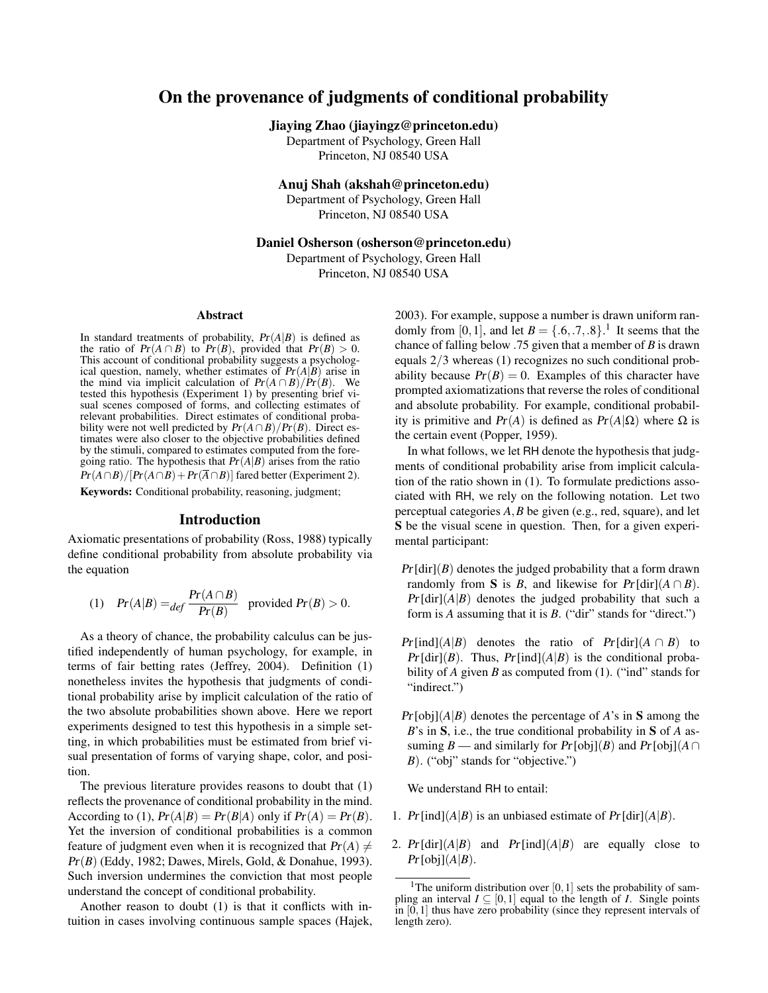# On the provenance of judgments of conditional probability

Jiaying Zhao (jiayingz@princeton.edu)

Department of Psychology, Green Hall Princeton, NJ 08540 USA

Anuj Shah (akshah@princeton.edu)

Department of Psychology, Green Hall Princeton, NJ 08540 USA

Daniel Osherson (osherson@princeton.edu)

Department of Psychology, Green Hall Princeton, NJ 08540 USA

#### Abstract

In standard treatments of probability,  $Pr(A|B)$  is defined as the ratio of  $Pr(A \cap B)$  to  $Pr(B)$ , provided that  $Pr(B) > 0$ . This account of conditional probability suggests a psychological question, namely, whether estimates of  $Pr(A|B)$  arise in the mind via implicit calculation of  $Pr(A \cap B)/Pr(B)$ . We tested this hypothesis (Experiment 1) by presenting brief visual scenes composed of forms, and collecting estimates of relevant probabilities. Direct estimates of conditional probability were not well predicted by  $Pr(A \cap B)/Pr(B)$ . Direct estimates were also closer to the objective probabilities defined by the stimuli, compared to estimates computed from the foregoing ratio. The hypothesis that  $Pr(A|B)$  arises from the ratio  $Pr(A \cap B)/[Pr(A \cap B) + Pr(\overline{A} \cap B)]$  fared better (Experiment 2).

Keywords: Conditional probability, reasoning, judgment;

## Introduction

Axiomatic presentations of probability (Ross, 1988) typically define conditional probability from absolute probability via the equation

(1) 
$$
Pr(A|B) =_{def} \frac{Pr(A \cap B)}{Pr(B)}
$$
 provided  $Pr(B) > 0$ .

As a theory of chance, the probability calculus can be justified independently of human psychology, for example, in terms of fair betting rates (Jeffrey, 2004). Definition (1) nonetheless invites the hypothesis that judgments of conditional probability arise by implicit calculation of the ratio of the two absolute probabilities shown above. Here we report experiments designed to test this hypothesis in a simple setting, in which probabilities must be estimated from brief visual presentation of forms of varying shape, color, and position.

The previous literature provides reasons to doubt that (1) reflects the provenance of conditional probability in the mind. According to (1),  $Pr(A|B) = Pr(B|A)$  only if  $Pr(A) = Pr(B)$ . Yet the inversion of conditional probabilities is a common feature of judgment even when it is recognized that  $Pr(A) \neq$ Pr(*B*) (Eddy, 1982; Dawes, Mirels, Gold, & Donahue, 1993). Such inversion undermines the conviction that most people understand the concept of conditional probability.

Another reason to doubt (1) is that it conflicts with intuition in cases involving continuous sample spaces (Hajek, 2003). For example, suppose a number is drawn uniform randomly from [0, 1], and let  $B = \{0.6, 0.7, 0.8\}$ .<sup>1</sup> It seems that the chance of falling below .75 given that a member of *B* is drawn equals 2/3 whereas (1) recognizes no such conditional probability because  $Pr(B) = 0$ . Examples of this character have prompted axiomatizations that reverse the roles of conditional and absolute probability. For example, conditional probability is primitive and Pr(*A*) is defined as Pr(*A*|Ω) where Ω is the certain event (Popper, 1959).

In what follows, we let RH denote the hypothesis that judgments of conditional probability arise from implicit calculation of the ratio shown in (1). To formulate predictions associated with RH, we rely on the following notation. Let two perceptual categories *A*,*B* be given (e.g., red, square), and let S be the visual scene in question. Then, for a given experimental participant:

- $Pr[\text{dir}](B)$  denotes the judged probability that a form drawn randomly from **S** is *B*, and likewise for  $Pr[dir](A \cap B)$ .  $Pr[\text{dir}](A|B)$  denotes the judged probability that such a form is *A* assuming that it is *B*. ("dir" stands for "direct.")
- $Pr[\text{ind}](A|B)$  denotes the ratio of  $Pr[\text{dir}](A \cap B)$  to  $Pr[\text{dir}](B)$ . Thus,  $Pr[\text{ind}](A|B)$  is the conditional probability of *A* given *B* as computed from (1). ("ind" stands for "indirect.")
- $Pr[obj](A|B)$  denotes the percentage of *A*'s in **S** among the *B*'s in S, i.e., the true conditional probability in S of *A* assuming *B* — and similarly for  $Pr[\text{obj}](B)$  and  $Pr[\text{obj}](A \cap B)$ *B*). ("obj" stands for "objective.")

We understand RH to entail:

- 1. Pr [ind]( $A|B$ ) is an unbiased estimate of Pr [dir]( $A|B$ ).
- 2.  $Pr[dir](A|B)$  and  $Pr[ind](A|B)$  are equally close to  $Pr[obj](A|B)$ .

<sup>&</sup>lt;sup>1</sup>The uniform distribution over [0, 1] sets the probability of sampling an interval  $I \subseteq [0,1]$  equal to the length of *I*. Single points in [0,1] thus have zero probability (since they represent intervals of length zero).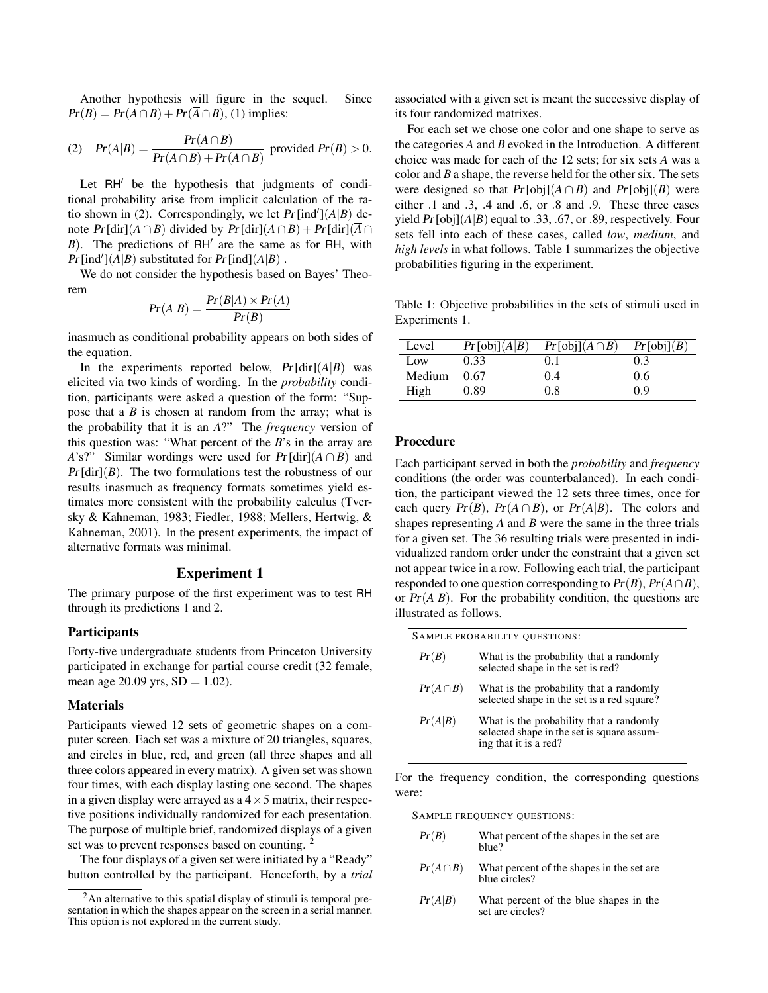Another hypothesis will figure in the sequel. Since  $Pr(B) = Pr(A \cap B) + Pr(\overline{A} \cap B)$ , (1) implies:

(2) 
$$
Pr(A|B) = \frac{Pr(A \cap B)}{Pr(A \cap B) + Pr(\overline{A} \cap B)}
$$
 provided  $Pr(B) > 0$ .

Let  $RH'$  be the hypothesis that judgments of conditional probability arise from implicit calculation of the ratio shown in (2). Correspondingly, we let  $Pr[\text{ind}'](A|B)$  denote  $Pr[\text{dir}](A \cap B)$  divided by  $Pr[\text{dir}](A \cap B) + Pr[\text{dir}](\overline{A} \cap B)$  $B$ ). The predictions of RH<sup> $\prime$ </sup> are the same as for RH, with  $Pr[\text{ind}'](A|B)$  substituted for  $Pr[\text{ind}](A|B)$ .

We do not consider the hypothesis based on Bayes' Theorem

$$
Pr(A|B) = \frac{Pr(B|A) \times Pr(A)}{Pr(B)}
$$

inasmuch as conditional probability appears on both sides of the equation.

In the experiments reported below,  $Pr[\text{dir}](A|B)$  was elicited via two kinds of wording. In the *probability* condition, participants were asked a question of the form: "Suppose that a *B* is chosen at random from the array; what is the probability that it is an *A*?" The *frequency* version of this question was: "What percent of the *B*'s in the array are *A*'s?" Similar wordings were used for  $Pr[\text{dir}](A \cap B)$  and  $Pr[\text{dir}](B)$ . The two formulations test the robustness of our results inasmuch as frequency formats sometimes yield estimates more consistent with the probability calculus (Tversky & Kahneman, 1983; Fiedler, 1988; Mellers, Hertwig, & Kahneman, 2001). In the present experiments, the impact of alternative formats was minimal.

# Experiment 1

The primary purpose of the first experiment was to test RH through its predictions 1 and 2.

#### **Participants**

Forty-five undergraduate students from Princeton University participated in exchange for partial course credit (32 female, mean age 20.09 yrs,  $SD = 1.02$ ).

#### **Materials**

Participants viewed 12 sets of geometric shapes on a computer screen. Each set was a mixture of 20 triangles, squares, and circles in blue, red, and green (all three shapes and all three colors appeared in every matrix). A given set was shown four times, with each display lasting one second. The shapes in a given display were arrayed as a  $4 \times 5$  matrix, their respective positions individually randomized for each presentation. The purpose of multiple brief, randomized displays of a given set was to prevent responses based on counting. <sup>2</sup>

The four displays of a given set were initiated by a "Ready" button controlled by the participant. Henceforth, by a *trial* associated with a given set is meant the successive display of its four randomized matrixes.

For each set we chose one color and one shape to serve as the categories *A* and *B* evoked in the Introduction. A different choice was made for each of the 12 sets; for six sets *A* was a color and *B* a shape, the reverse held for the other six. The sets were designed so that  $Pr[\text{obj}](A \cap B)$  and  $Pr[\text{obj}](B)$  were either .1 and .3, .4 and .6, or .8 and .9. These three cases yield Pr [obj](*A*|*B*) equal to .33, .67, or .89, respectively. Four sets fell into each of these cases, called *low*, *medium*, and *high levels* in what follows. Table 1 summarizes the objective probabilities figuring in the experiment.

Table 1: Objective probabilities in the sets of stimuli used in Experiments 1.

| Level  | Pr[obj](A B) | $Pr[obj](A \cap B)$ | Pr[obj](B) |
|--------|--------------|---------------------|------------|
| Low    | 0.33         | (0.1)               | 0.3        |
| Medium | 0.67         | 0.4                 | 0.6        |
| High   | 0.89         | 0.8                 | 09         |

# Procedure

Each participant served in both the *probability* and *frequency* conditions (the order was counterbalanced). In each condition, the participant viewed the 12 sets three times, once for each query  $Pr(B)$ ,  $Pr(A \cap B)$ , or  $Pr(A|B)$ . The colors and shapes representing *A* and *B* were the same in the three trials for a given set. The 36 resulting trials were presented in individualized random order under the constraint that a given set not appear twice in a row. Following each trial, the participant responded to one question corresponding to  $Pr(B)$ ,  $Pr(A \cap B)$ , or  $Pr(A|B)$ . For the probability condition, the questions are illustrated as follows.

| SAMPLE PROBABILITY QUESTIONS: |                                                                                                                |  |
|-------------------------------|----------------------------------------------------------------------------------------------------------------|--|
| Pr(B)                         | What is the probability that a randomly<br>selected shape in the set is red?                                   |  |
| $Pr(A \cap B)$                | What is the probability that a randomly<br>selected shape in the set is a red square?                          |  |
| Pr(A B)                       | What is the probability that a randomly<br>selected shape in the set is square assum-<br>ing that it is a red? |  |

For the frequency condition, the corresponding questions were:

| SAMPLE FREQUENCY QUESTIONS: |                                                             |  |
|-----------------------------|-------------------------------------------------------------|--|
| Pr(B)                       | What percent of the shapes in the set are.<br>blue?         |  |
| $Pr(A \cap B)$              | What percent of the shapes in the set are.<br>blue circles? |  |
| Pr(A B)                     | What percent of the blue shapes in the<br>set are circles?  |  |

 $2$ An alternative to this spatial display of stimuli is temporal presentation in which the shapes appear on the screen in a serial manner. This option is not explored in the current study.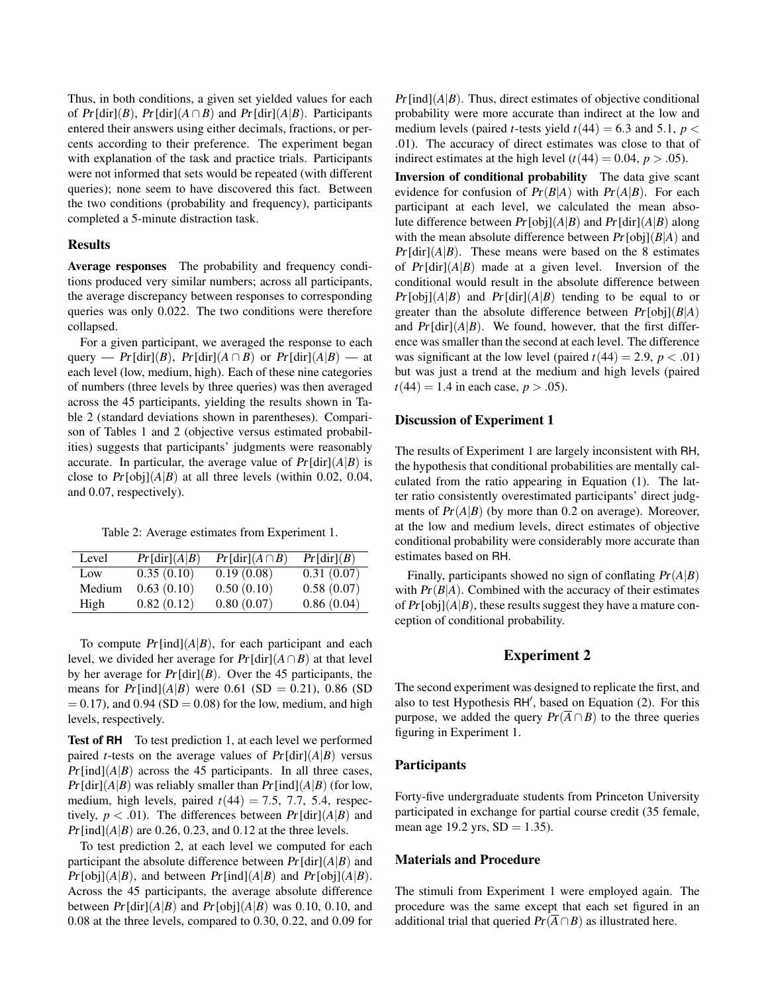Thus, in both conditions, a given set yielded values for each of  $Pr[\text{dir}](B)$ ,  $Pr[\text{dir}](A \cap B)$  and  $Pr[\text{dir}](A|B)$ . Participants entered their answers using either decimals, fractions, or percents according to their preference. The experiment began with explanation of the task and practice trials. Participants were not informed that sets would be repeated (with different queries); none seem to have discovered this fact. Between the two conditions (probability and frequency), participants completed a 5-minute distraction task.

#### Results

Average responses The probability and frequency conditions produced very similar numbers; across all participants, the average discrepancy between responses to corresponding queries was only 0.022. The two conditions were therefore collapsed.

For a given participant, we averaged the response to each query — Pr[dir](*B*), Pr[dir]( $A \cap B$ ) or Pr[dir]( $A|B$ ) — at each level (low, medium, high). Each of these nine categories of numbers (three levels by three queries) was then averaged across the 45 participants, yielding the results shown in Table 2 (standard deviations shown in parentheses). Comparison of Tables 1 and 2 (objective versus estimated probabilities) suggests that participants' judgments were reasonably accurate. In particular, the average value of  $Pr[\text{dir}](A|B)$  is close to  $Pr[\text{obj}](A|B)$  at all three levels (within 0.02, 0.04, and 0.07, respectively).

Table 2: Average estimates from Experiment 1.

| Level  | Pr[dir](A B) | $Pr[dir](A \cap B)$ | Pr[dir](B) |
|--------|--------------|---------------------|------------|
| Low    | 0.35(0.10)   | 0.19(0.08)          | 0.31(0.07) |
| Medium | 0.63(0.10)   | 0.50(0.10)          | 0.58(0.07) |
| High   | 0.82(0.12)   | 0.80(0.07)          | 0.86(0.04) |

To compute  $Pr[ind](A|B)$ , for each participant and each level, we divided her average for  $Pr[\text{dir}](A \cap B)$  at that level by her average for  $Pr[\text{dir}](B)$ . Over the 45 participants, the means for  $Pr[ind](A|B)$  were 0.61 (SD = 0.21), 0.86 (SD  $= 0.17$ ), and  $0.94$  (SD  $= 0.08$ ) for the low, medium, and high levels, respectively.

Test of **RH** To test prediction 1, at each level we performed paired *t*-tests on the average values of  $Pr[dir](A|B)$  versus  $Pr[\text{ind}](A|B)$  across the 45 participants. In all three cases,  $Pr[\text{dir}](A|B)$  was reliably smaller than  $Pr[\text{ind}](A|B)$  (for low, medium, high levels, paired  $t(44) = 7.5, 7.7, 5.4$ , respectively,  $p < .01$ ). The differences between  $Pr[dir](A|B)$  and  $Pr[\text{ind}(A|B)$  are 0.26, 0.23, and 0.12 at the three levels.

To test prediction 2, at each level we computed for each participant the absolute difference between  $Pr[\text{dir}](A|B)$  and  $Pr[\text{obj}](A|B)$ , and between  $Pr[\text{ind}](A|B)$  and  $Pr[\text{obj}](A|B)$ . Across the 45 participants, the average absolute difference between  $Pr[\text{dir}](A|B)$  and  $Pr[\text{obj}](A|B)$  was 0.10, 0.10, and 0.08 at the three levels, compared to 0.30, 0.22, and 0.09 for  $Pr[\text{ind}](A|B)$ . Thus, direct estimates of objective conditional probability were more accurate than indirect at the low and medium levels (paired *t*-tests yield  $t(44) = 6.3$  and 5.1,  $p <$ .01). The accuracy of direct estimates was close to that of indirect estimates at the high level  $(t(44) = 0.04, p > .05)$ .

Inversion of conditional probability The data give scant evidence for confusion of  $Pr(B|A)$  with  $Pr(A|B)$ . For each participant at each level, we calculated the mean absolute difference between  $Pr[\text{obj}(A|B)$  and  $Pr[\text{dir}](A|B)$  along with the mean absolute difference between Pr [obj](*B*|*A*) and  $Pr[\text{dir}](A|B)$ . These means were based on the 8 estimates of  $Pr[dir](A|B)$  made at a given level. Inversion of the conditional would result in the absolute difference between  $Pr[obj](A|B)$  and  $Pr[dir](A|B)$  tending to be equal to or greater than the absolute difference between  $Pr[obj](B|A)$ and  $Pr[\text{dir}](A|B)$ . We found, however, that the first difference was smaller than the second at each level. The difference was significant at the low level (paired  $t(44) = 2.9$ ,  $p < .01$ ) but was just a trend at the medium and high levels (paired  $t(44) = 1.4$  in each case,  $p > .05$ ).

# Discussion of Experiment 1

The results of Experiment 1 are largely inconsistent with RH, the hypothesis that conditional probabilities are mentally calculated from the ratio appearing in Equation (1). The latter ratio consistently overestimated participants' direct judgments of  $Pr(A|B)$  (by more than 0.2 on average). Moreover, at the low and medium levels, direct estimates of objective conditional probability were considerably more accurate than estimates based on RH.

Finally, participants showed no sign of conflating Pr(*A*|*B*) with  $Pr(B|A)$ . Combined with the accuracy of their estimates of  $Pr[obj](A|B)$ , these results suggest they have a mature conception of conditional probability.

# Experiment 2

The second experiment was designed to replicate the first, and also to test Hypothesis RH', based on Equation (2). For this purpose, we added the query  $Pr(\overline{A} \cap B)$  to the three queries figuring in Experiment 1.

## Participants

Forty-five undergraduate students from Princeton University participated in exchange for partial course credit (35 female, mean age 19.2 yrs,  $SD = 1.35$ ).

### Materials and Procedure

The stimuli from Experiment 1 were employed again. The procedure was the same except that each set figured in an additional trial that queried  $Pr(\overline{A} \cap B)$  as illustrated here.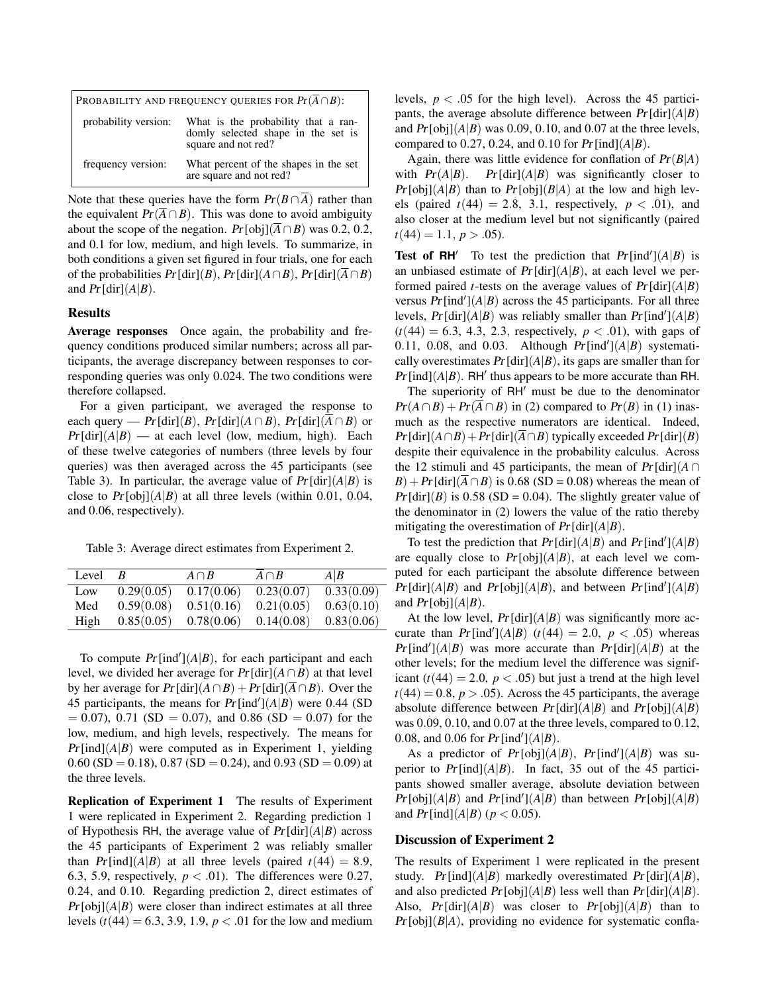| PROBABILITY AND FREQUENCY QUERIES FOR $Pr(\overline{A} \cap B)$ : |                                                                                                  |  |
|-------------------------------------------------------------------|--------------------------------------------------------------------------------------------------|--|
| probability version:                                              | What is the probability that a ran-<br>domly selected shape in the set is<br>square and not red? |  |
| frequency version:                                                | What percent of the shapes in the set<br>are square and not red?                                 |  |

Note that these queries have the form  $Pr(B \cap \overline{A})$  rather than the equivalent  $Pr(\overline{A} \cap B)$ . This was done to avoid ambiguity about the scope of the negation.  $Pr[\text{obj}](\overline{A} \cap B)$  was 0.2, 0.2, and 0.1 for low, medium, and high levels. To summarize, in both conditions a given set figured in four trials, one for each of the probabilities  $Pr[\text{dir}](B)$ ,  $Pr[\text{dir}](A \cap B)$ ,  $Pr[\text{dir}](\overline{A} \cap B)$ and  $Pr[\text{dir}](A|B)$ .

### Results

Average responses Once again, the probability and frequency conditions produced similar numbers; across all participants, the average discrepancy between responses to corresponding queries was only 0.024. The two conditions were therefore collapsed.

For a given participant, we averaged the response to each query — Pr [dir](*B*), Pr [dir]( $A \cap B$ ), Pr [dir]( $\overline{A} \cap B$ ) or  $Pr[\text{dir}](A|B)$  — at each level (low, medium, high). Each of these twelve categories of numbers (three levels by four queries) was then averaged across the 45 participants (see Table 3). In particular, the average value of  $Pr[\text{dir}](A|B)$  is close to  $Pr[obj](A|B)$  at all three levels (within 0.01, 0.04, and 0.06, respectively).

Table 3: Average direct estimates from Experiment 2.

| Level | В          | $A \cap B$ | $A \cap B$ | A B        |
|-------|------------|------------|------------|------------|
| Low   | 0.29(0.05) | 0.17(0.06) | 0.23(0.07) | 0.33(0.09) |
| Med   | 0.59(0.08) | 0.51(0.16) | 0.21(0.05) | 0.63(0.10) |
| High  | 0.85(0.05) | 0.78(0.06) | 0.14(0.08) | 0.83(0.06) |

To compute  $Pr[\text{ind}'](A|B)$ , for each participant and each level, we divided her average for  $Pr[\text{dir}](A \cap B)$  at that level by her average for  $Pr[\text{dir}](A \cap B) + Pr[\text{dir}](\overline{A} \cap B)$ . Over the 45 participants, the means for  $Pr[\text{ind}'](A|B)$  were 0.44 (SD  $= 0.07$ ), 0.71 (SD  $= 0.07$ ), and 0.86 (SD  $= 0.07$ ) for the low, medium, and high levels, respectively. The means for  $Pr[\text{ind}](A|B)$  were computed as in Experiment 1, yielding  $0.60$  (SD = 0.18), 0.87 (SD = 0.24), and 0.93 (SD = 0.09) at the three levels.

Replication of Experiment 1 The results of Experiment 1 were replicated in Experiment 2. Regarding prediction 1 of Hypothesis RH, the average value of  $Pr[dir](A|B)$  across the 45 participants of Experiment 2 was reliably smaller than  $Pr[\text{ind}](A|B)$  at all three levels (paired  $t(44) = 8.9$ , 6.3, 5.9, respectively,  $p < .01$ ). The differences were 0.27, 0.24, and 0.10. Regarding prediction 2, direct estimates of  $Pr[\text{obj}(A|B)$  were closer than indirect estimates at all three levels ( $t(44) = 6.3, 3.9, 1.9, p < .01$  for the low and medium levels,  $p < .05$  for the high level). Across the 45 participants, the average absolute difference between  $Pr[\text{dir}](A|B)$ and  $Pr[obj](A|B)$  was 0.09, 0.10, and 0.07 at the three levels, compared to 0.27, 0.24, and 0.10 for  $Pr[ind](A|B)$ .

Again, there was little evidence for conflation of Pr(*B*|*A*) with  $Pr(A|B)$ .  $Pr[\text{dir}](A|B)$  was significantly closer to  $Pr[\text{obj}](A|B)$  than to  $Pr[\text{obj}](B|A)$  at the low and high levels (paired  $t(44) = 2.8$ , 3.1, respectively,  $p < .01$ ), and also closer at the medium level but not significantly (paired  $t(44) = 1.1, p > .05$ .

**Test of RH<sup>'</sup>** To test the prediction that  $Pr[\text{ind}'](A|B)$  is an unbiased estimate of  $Pr[\text{dir}](A|B)$ , at each level we performed paired *t*-tests on the average values of  $Pr[\text{dir}](A|B)$ versus  $Pr[\text{ind}'](A|B)$  across the 45 participants. For all three levels,  $Pr[dir](A|B)$  was reliably smaller than  $Pr[ind'](A|B)$  $(t(44) = 6.3, 4.3, 2.3,$  respectively,  $p < .01$ ), with gaps of 0.11, 0.08, and 0.03. Although  $Pr[\text{ind}'](A|B)$  systematically overestimates  $Pr[\text{dir}](A|B)$ , its gaps are smaller than for  $Pr[\text{ind}](A|B)$ . RH' thus appears to be more accurate than RH.

The superiority of  $RH'$  must be due to the denominator  $Pr(A \cap B) + Pr(\overline{A} \cap B)$  in (2) compared to  $Pr(B)$  in (1) inasmuch as the respective numerators are identical. Indeed,  $Pr[\text{dir}](A \cap B) + Pr[\text{dir}](\overline{A} \cap B)$  typically exceeded  $Pr[\text{dir}](B)$ despite their equivalence in the probability calculus. Across the 12 stimuli and 45 participants, the mean of  $Pr[\text{dir}](A \cap$  $B$ ) + Pr [dir]( $\overline{A} \cap B$ ) is 0.68 (SD = 0.08) whereas the mean of  $Pr[\text{dir}](B)$  is 0.58 (SD = 0.04). The slightly greater value of the denominator in (2) lowers the value of the ratio thereby mitigating the overestimation of  $Pr[\text{dir}](A|B)$ .

To test the prediction that  $Pr[\text{dir}](A|B)$  and  $Pr[\text{ind}'](A|B)$ are equally close to  $Pr[obj](A|B)$ , at each level we computed for each participant the absolute difference between  $Pr[\text{dir}](A|B)$  and  $Pr[\text{obj}](A|B)$ , and between  $Pr[\text{ind}'](A|B)$ and  $Pr[obj](A|B)$ .

At the low level,  $Pr[\text{dir}](A|B)$  was significantly more accurate than  $Pr[\text{ind}'](A|B)$  ( $t(44) = 2.0, p < .05$ ) whereas  $Pr[\text{ind}'](A|B)$  was more accurate than  $Pr[\text{dir}](A|B)$  at the other levels; for the medium level the difference was significant  $(t(44) = 2.0, p < .05)$  but just a trend at the high level  $t(44) = 0.8$ ,  $p > .05$ ). Across the 45 participants, the average absolute difference between  $Pr[\text{dir}](A|B)$  and  $Pr[\text{obj}](A|B)$ was 0.09, 0.10, and 0.07 at the three levels, compared to 0.12, 0.08, and 0.06 for  $Pr[\text{ind}'](A|B)$ .

As a predictor of  $Pr[obj](A|B)$ ,  $Pr[ind'](A|B)$  was superior to  $Pr[\text{ind}](A|B)$ . In fact, 35 out of the 45 participants showed smaller average, absolute deviation between  $Pr[\text{obj}](A|B)$  and  $Pr[\text{ind}'](A|B)$  than between  $Pr[\text{obj}](A|B)$ and  $Pr[\text{ind}](A|B)$  ( $p < 0.05$ ).

### Discussion of Experiment 2

The results of Experiment 1 were replicated in the present study. Pr [ind]( $A|B$ ) markedly overestimated Pr [dir]( $A|B$ ), and also predicted  $Pr[\text{obj}](A|B)$  less well than  $Pr[\text{dir}](A|B)$ . Also,  $Pr[\text{dir}](A|B)$  was closer to  $Pr[\text{obj}](A|B)$  than to  $Pr[obj](B|A)$ , providing no evidence for systematic confla